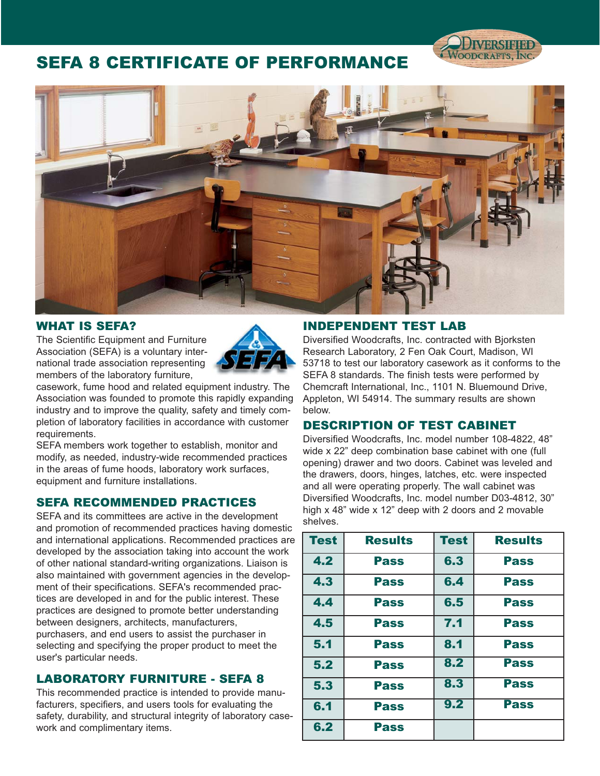# SEFA 8 CERTIFICATE OF PERFORMANCE



### WHAT IS SEFA?

The Scientific Equipment and Furniture Association (SEFA) is a voluntary international trade association representing members of the laboratory furniture,



casework, fume hood and related equipment industry. The Association was founded to promote this rapidly expanding industry and to improve the quality, safety and timely completion of laboratory facilities in accordance with customer requirements.

SEFA members work together to establish, monitor and modify, as needed, industry-wide recommended practices in the areas of fume hoods, laboratory work surfaces, equipment and furniture installations.

### SEFA RECOMMENDED PRACTICES

SEFA and its committees are active in the development and promotion of recommended practices having domestic and international applications. Recommended practices are developed by the association taking into account the work of other national standard-writing organizations. Liaison is also maintained with government agencies in the development of their specifications. SEFA's recommended practices are developed in and for the public interest. These practices are designed to promote better understanding between designers, architects, manufacturers, purchasers, and end users to assist the purchaser in selecting and specifying the proper product to meet the user's particular needs.

### LABORATORY FURNITURE - SEFA 8

This recommended practice is intended to provide manufacturers, specifiers, and users tools for evaluating the safety, durability, and structural integrity of laboratory casework and complimentary items.

### INDEPENDENT TEST LAB

Diversified Woodcrafts, Inc. contracted with Bjorksten Research Laboratory, 2 Fen Oak Court, Madison, WI 53718 to test our laboratory casework as it conforms to the SEFA 8 standards. The finish tests were performed by Chemcraft International, Inc., 1101 N. Bluemound Drive, Appleton, WI 54914. The summary results are shown below.

### DESCRIPTION OF TEST CABINET

Diversified Woodcrafts, Inc. model number 108-4822, 48" wide x 22" deep combination base cabinet with one (full opening) drawer and two doors. Cabinet was leveled and the drawers, doors, hinges, latches, etc. were inspected and all were operating properly. The wall cabinet was Diversified Woodcrafts, Inc. model number D03-4812, 30" high x 48" wide x 12" deep with 2 doors and 2 movable shelves.

| <b>Test</b> | <b>Results</b> | <b>Test</b> | <b>Results</b> |
|-------------|----------------|-------------|----------------|
| 4.2         | <b>Pass</b>    | 6.3         | <b>Pass</b>    |
| 4.3         | <b>Pass</b>    | 6.4         | <b>Pass</b>    |
| 4.4         | <b>Pass</b>    | 6.5         | <b>Pass</b>    |
| 4.5         | <b>Pass</b>    | 7.1         | <b>Pass</b>    |
| 5.1         | <b>Pass</b>    | 8.1         | <b>Pass</b>    |
| 5.2         | <b>Pass</b>    | 8.2         | <b>Pass</b>    |
| 5.3         | <b>Pass</b>    | 8.3         | <b>Pass</b>    |
| 6.1         | <b>Pass</b>    | 9.2         | <b>Pass</b>    |
| 6.2         | Pass           |             |                |